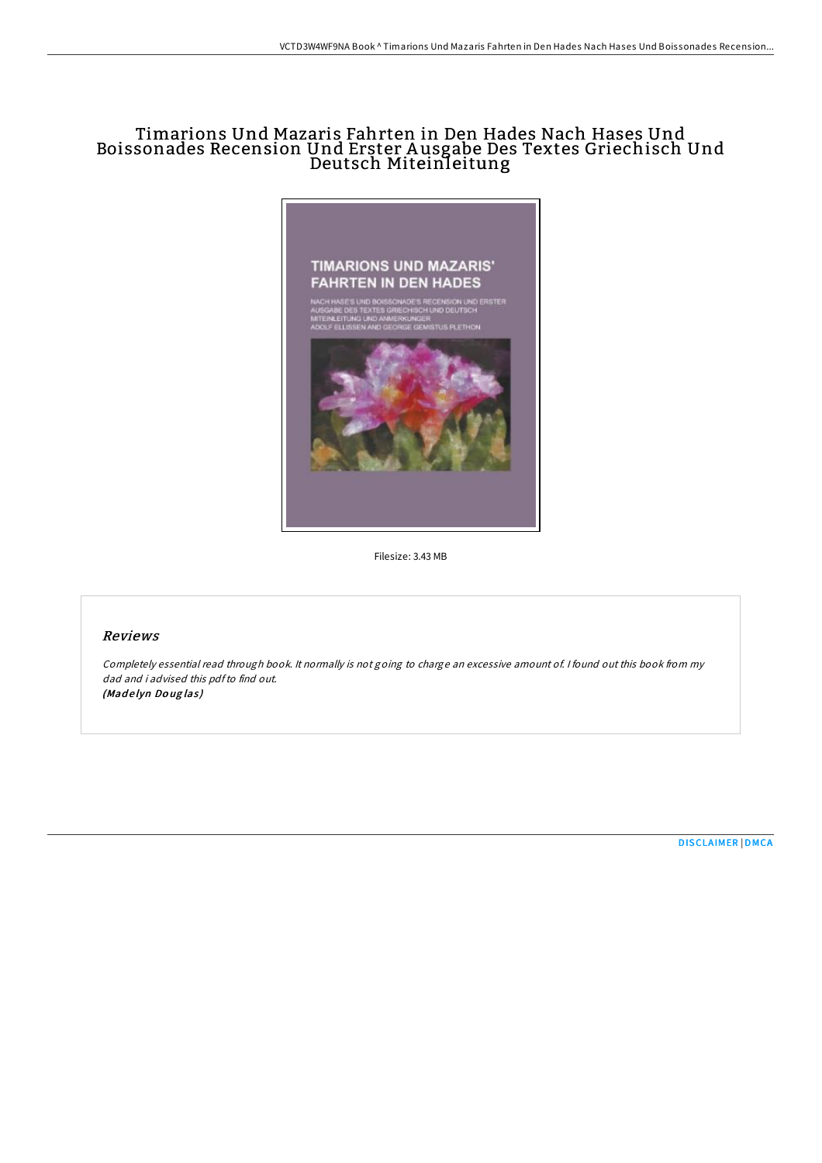# Timarions Und Mazaris Fahrten in Den Hades Nach Hases Und Boissonades Recension Und Erster A usgabe Des Textes Griechisch Und Deutsch Miteinleitung



Filesize: 3.43 MB

## Reviews

Completely essential read through book. It normally is not going to charge an excessive amount of. <sup>I</sup> found out this book from my dad and i advised this pdfto find out. (Madelyn Douglas)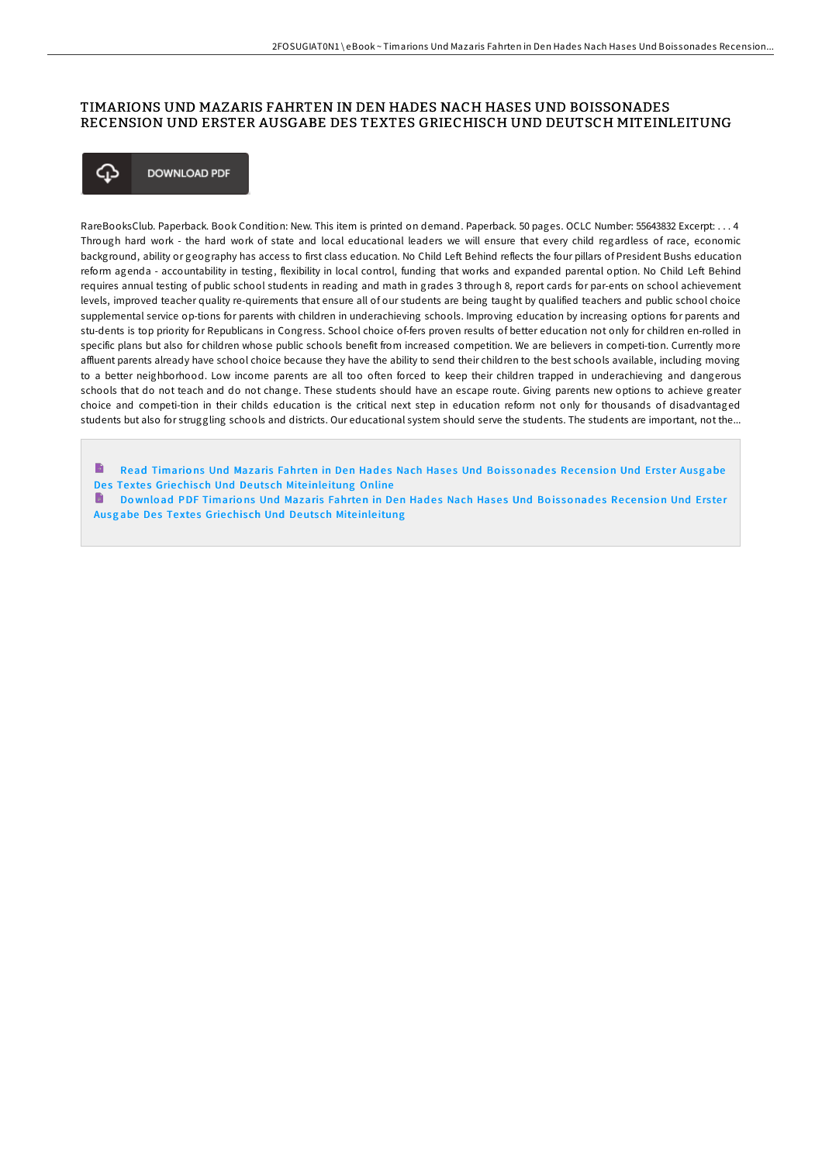### TIMARIONS UND MAZARIS FAHRTEN IN DEN HADES NACH HASES UND BOISSONADES RECENSION UND ERSTER AUSGABE DES TEXTES GRIECHISCH UND DEUTSCH MITEINLEITUNG



RareBooksClub. Paperback. Book Condition: New. This item is printed on demand. Paperback. 50 pages. OCLC Number: 55643832 Excerpt: . . . 4 Through hard work - the hard work of state and local educational leaders we will ensure that every child regardless of race, economic background, ability or geography has access to first class education. No Child Left Behind reflects the four pillars of President Bushs education reform agenda - accountability in testing, flexibility in local control, funding that works and expanded parental option. No Child Left Behind requires annual testing of public school students in reading and math in grades 3 through 8, report cards for par-ents on school achievement levels, improved teacher quality re-quirements that ensure all of our students are being taught by qualified teachers and public school choice supplemental service op-tions for parents with children in underachieving schools. Improving education by increasing options for parents and stu-dents is top priority for Republicans in Congress. School choice of-fers proven results of better education not only for children en-rolled in specific plans but also for children whose public schools benefit from increased competition. We are believers in competi-tion. Currently more affluent parents already have school choice because they have the ability to send their children to the best schools available, including moving to a better neighborhood. Low income parents are all too often forced to keep their children trapped in underachieving and dangerous schools that do not teach and do not change. These students should have an escape route. Giving parents new options to achieve greater choice and competi-tion in their childs education is the critical next step in education reform not only for thousands of disadvantaged students but also for struggling schools and districts. Our educational system should serve the students. The students are important, not the...

B Read Timarions Und Mazaris [Fahrten](http://almighty24.tech/timarions-und-mazaris-fahrten-in-den-hades-nach-.html) in Den Hades Nach Hases Und Boissonades Recension Und Erster Ausgabe Des Textes Griechisch Und Deutsch Miteinleitung Online

Download PDF Timarions Und Mazaris [Fahrten](http://almighty24.tech/timarions-und-mazaris-fahrten-in-den-hades-nach-.html) in Den Hades Nach Hases Und Boissonades Recension Und Erster Ausgabe Des Textes Griechisch Und Deutsch Miteinleitung